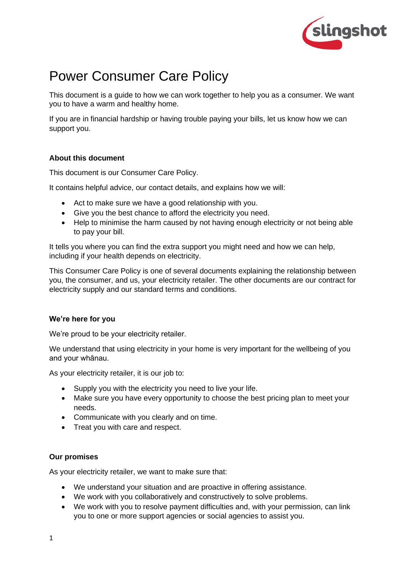

# Power Consumer Care Policy

This document is a guide to how we can work together to help you as a consumer. We want you to have a warm and healthy home.

If you are in financial hardship or having trouble paying your bills, let us know how we can support you.

# **About this document**

This document is our Consumer Care Policy.

It contains helpful advice, our contact details, and explains how we will:

- Act to make sure we have a good relationship with you.
- Give you the best chance to afford the electricity you need.
- Help to minimise the harm caused by not having enough electricity or not being able to pay your bill.

It tells you where you can find the extra support you might need and how we can help, including if your health depends on electricity.

This Consumer Care Policy is one of several documents explaining the relationship between you, the consumer, and us, your electricity retailer. The other documents are our contract for electricity supply and our standard terms and conditions.

## **We're here for you**

We're proud to be your electricity retailer.

We understand that using electricity in your home is very important for the wellbeing of you and your whānau.

As your electricity retailer, it is our job to:

- Supply you with the electricity you need to live your life.
- Make sure you have every opportunity to choose the best pricing plan to meet your needs.
- Communicate with you clearly and on time.
- Treat you with care and respect.

## **Our promises**

As your electricity retailer, we want to make sure that:

- We understand your situation and are proactive in offering assistance.
- We work with you collaboratively and constructively to solve problems.
- We work with you to resolve payment difficulties and, with your permission, can link you to one or more support agencies or social agencies to assist you.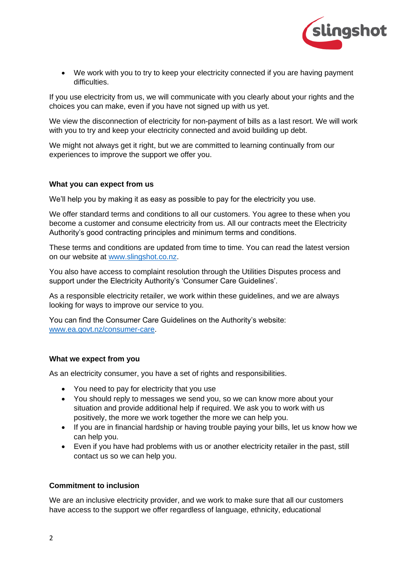

• We work with you to try to keep your electricity connected if you are having payment difficulties.

If you use electricity from us, we will communicate with you clearly about your rights and the choices you can make, even if you have not signed up with us yet.

We view the disconnection of electricity for non-payment of bills as a last resort. We will work with you to try and keep your electricity connected and avoid building up debt.

We might not always get it right, but we are committed to learning continually from our experiences to improve the support we offer you.

#### **What you can expect from us**

We'll help you by making it as easy as possible to pay for the electricity you use.

We offer standard terms and conditions to all our customers. You agree to these when you become a customer and consume electricity from us. All our contracts meet the Electricity Authority's good contracting principles and minimum terms and conditions.

These terms and conditions are updated from time to time. You can read the latest version on our website at [www.slingshot.co.nz.](https://www.slingshot.co.nz/)

You also have access to complaint resolution through the Utilities Disputes process and support under the Electricity Authority's 'Consumer Care Guidelines'.

As a responsible electricity retailer, we work within these guidelines, and we are always looking for ways to improve our service to you.

You can find the Consumer Care Guidelines on the Authority's website: [www.ea.govt.nz/consumer-care.](http://www.ea.govt.nz/consumer-care)

#### **What we expect from you**

As an electricity consumer, you have a set of rights and responsibilities.

- You need to pay for electricity that you use
- You should reply to messages we send you, so we can know more about your situation and provide additional help if required. We ask you to work with us positively, the more we work together the more we can help you.
- If you are in financial hardship or having trouble paying your bills, let us know how we can help you.
- Even if you have had problems with us or another electricity retailer in the past, still contact us so we can help you.

## **Commitment to inclusion**

We are an inclusive electricity provider, and we work to make sure that all our customers have access to the support we offer regardless of language, ethnicity, educational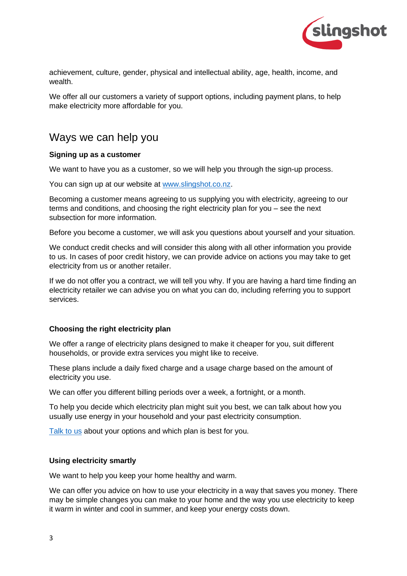

achievement, culture, gender, physical and intellectual ability, age, health, income, and wealth.

We offer all our customers a variety of support options, including payment plans, to help make electricity more affordable for you.

# Ways we can help you

#### **Signing up as a customer**

We want to have you as a customer, so we will help you through the sign-up process.

You can sign up at our website at [www.slingshot.co.nz.](http://www.slingshot.co.nz/)

Becoming a customer means agreeing to us supplying you with electricity, agreeing to our terms and conditions, and choosing the right electricity plan for you – see the next subsection for more information.

Before you become a customer, we will ask you questions about yourself and your situation.

We conduct credit checks and will consider this along with all other information you provide to us. In cases of poor credit history, we can provide advice on actions you may take to get electricity from us or another retailer.

If we do not offer you a contract, we will tell you why. If you are having a hard time finding an electricity retailer we can advise you on what you can do, including referring you to support services.

## **Choosing the right electricity plan**

We offer a range of electricity plans designed to make it cheaper for you, suit different households, or provide extra services you might like to receive.

These plans include a daily fixed charge and a usage charge based on the amount of electricity you use.

We can offer you different billing periods over a week, a fortnight, or a month.

To help you decide which electricity plan might suit you best, we can talk about how you usually use energy in your household and your past electricity consumption.

[Talk to us](https://www.slingshot.co.nz/contact/) about your options and which plan is best for you.

#### **Using electricity smartly**

We want to help you keep your home healthy and warm.

We can offer you advice on how to use your electricity in a way that saves you money. There may be simple changes you can make to your home and the way you use electricity to keep it warm in winter and cool in summer, and keep your energy costs down.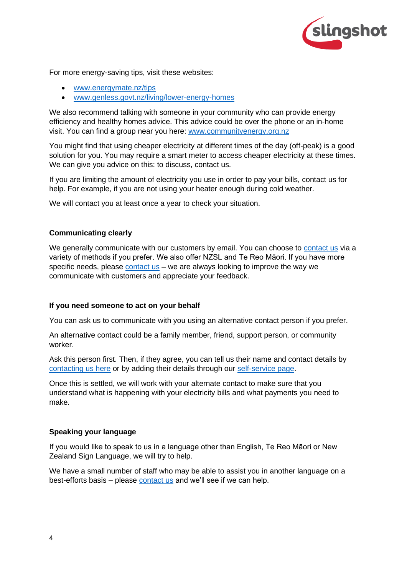

For more energy-saving tips, visit these websites:

- [www.energymate.nz/tips](http://www.energymate.nz/tips)
- [www.genless.govt.nz/living/lower-energy-homes](http://www.genless.govt.nz/living/lower-energy-homes/)

We also recommend talking with someone in your community who can provide energy efficiency and healthy homes advice. This advice could be over the phone or an in-home visit. You can find a group near you here: [www.communityenergy.org.nz](http://www.communityenergy.org.nz/)

You might find that using cheaper electricity at different times of the day (off-peak) is a good solution for you. You may require a smart meter to access cheaper electricity at these times. We can give you advice on this: to discuss, contact us.

If you are limiting the amount of electricity you use in order to pay your bills, contact us for help. For example, if you are not using your heater enough during cold weather.

We will contact you at least once a year to check your situation.

## **Communicating clearly**

We generally communicate with our customers by email. You can choose to [contact us](https://www.slingshot.co.nz/contact/) via a variety of methods if you prefer. We also offer NZSL and Te Reo Māori. If you have more specific needs, please [contact us](https://www.slingshot.co.nz/contact) – we are always looking to improve the way we communicate with customers and appreciate your feedback.

## **If you need someone to act on your behalf**

You can ask us to communicate with you using an alternative contact person if you prefer.

An alternative contact could be a family member, friend, support person, or community worker.

Ask this person first. Then, if they agree, you can tell us their name and contact details by [contacting us here](https://www.slingshot.co.nz/contact) or by adding their details through our [self-service page.](https://www.slingshot.co.nz/myslingshot/)

Once this is settled, we will work with your alternate contact to make sure that you understand what is happening with your electricity bills and what payments you need to make.

#### **Speaking your language**

If you would like to speak to us in a language other than English, Te Reo Māori or New Zealand Sign Language, we will try to help.

We have a small number of staff who may be able to assist you in another language on a best-efforts basis – please [contact us](https://www.slingshot.co.nz/contact) and we'll see if we can help.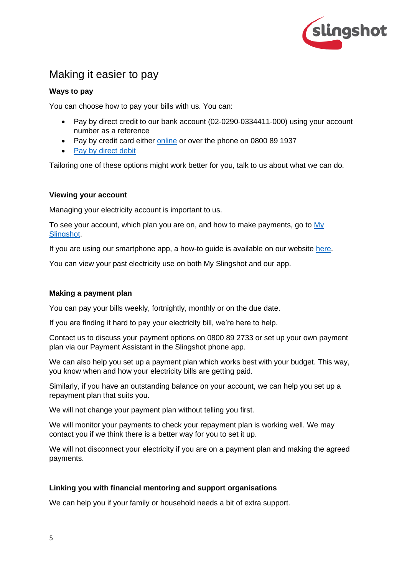

# Making it easier to pay

# **Ways to pay**

You can choose how to pay your bills with us. You can:

- Pay by direct credit to our bank account (02-0290-0334411-000) using your account number as a reference
- Pay by credit card either [online](https://www.slingshot.co.nz/myslingshot/) or over the phone on 0800 89 1937
- [Pay by direct debit](https://help.slingshot.co.nz/hc/en-us/articles/900000241883-Pay-with-direct-debit)

Tailoring one of these options might work better for you, talk to us about what we can do.

# **Viewing your account**

Managing your electricity account is important to us.

To see your account, which plan you are on, and how to make payments, go to My [Slingshot.](https://www.slingshot.co.nz/myslingshot/)

If you are using our smartphone app, a how-to guide is available on our website [here.](https://help.slingshot.co.nz/hc/en-us/articles/900000521403-Understand-your-power-charges)

You can view your past electricity use on both My Slingshot and our app.

# **Making a payment plan**

You can pay your bills weekly, fortnightly, monthly or on the due date.

If you are finding it hard to pay your electricity bill, we're here to help.

Contact us to discuss your payment options on 0800 89 2733 or set up your own payment plan via our Payment Assistant in the Slingshot phone app.

We can also help you set up a payment plan which works best with your budget. This way, you know when and how your electricity bills are getting paid.

Similarly, if you have an outstanding balance on your account, we can help you set up a repayment plan that suits you.

We will not change your payment plan without telling you first.

We will monitor your payments to check your repayment plan is working well. We may contact you if we think there is a better way for you to set it up.

We will not disconnect your electricity if you are on a payment plan and making the agreed payments.

# **Linking you with financial mentoring and support organisations**

We can help you if your family or household needs a bit of extra support.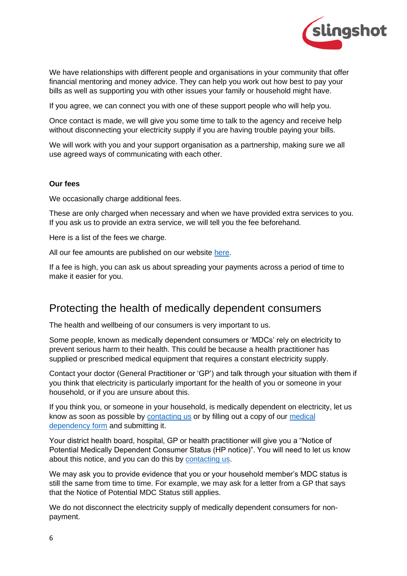

We have relationships with different people and organisations in your community that offer financial mentoring and money advice. They can help you work out how best to pay your bills as well as supporting you with other issues your family or household might have.

If you agree, we can connect you with one of these support people who will help you.

Once contact is made, we will give you some time to talk to the agency and receive help without disconnecting your electricity supply if you are having trouble paying your bills.

We will work with you and your support organisation as a partnership, making sure we all use agreed ways of communicating with each other.

#### **Our fees**

We occasionally charge additional fees.

These are only charged when necessary and when we have provided extra services to you. If you ask us to provide an extra service, we will tell you the fee beforehand.

Here is a list of the fees we charge.

All our fee amounts are published on our website [here.](https://www.slingshot.co.nz/terms-and-conditions/energy)

If a fee is high, you can ask us about spreading your payments across a period of time to make it easier for you.

# Protecting the health of medically dependent consumers

The health and wellbeing of our consumers is very important to us.

Some people, known as medically dependent consumers or 'MDCs' rely on electricity to prevent serious harm to their health. This could be because a health practitioner has supplied or prescribed medical equipment that requires a constant electricity supply.

Contact your doctor (General Practitioner or 'GP') and talk through your situation with them if you think that electricity is particularly important for the health of you or someone in your household, or if you are unsure about this.

If you think you, or someone in your household, is medically dependent on electricity, let us know as soon as possible by [contacting us](https://www.slingshot.co.nz/contact/) or by filling out a copy of our [medical](https://help.slingshot.co.nz/hc/en-us/articles/360000047833-What-should-I-do-if-I-am-medically-dependent-on-power-)  [dependency form](https://help.slingshot.co.nz/hc/en-us/articles/360000047833-What-should-I-do-if-I-am-medically-dependent-on-power-) and submitting it.

Your district health board, hospital, GP or health practitioner will give you a "Notice of Potential Medically Dependent Consumer Status (HP notice)". You will need to let us know about this notice, and you can do this by [contacting us.](https://www.slingshot.co.nz/contact/)

We may ask you to provide evidence that you or your household member's MDC status is still the same from time to time. For example, we may ask for a letter from a GP that says that the Notice of Potential MDC Status still applies.

We do not disconnect the electricity supply of medically dependent consumers for nonpayment.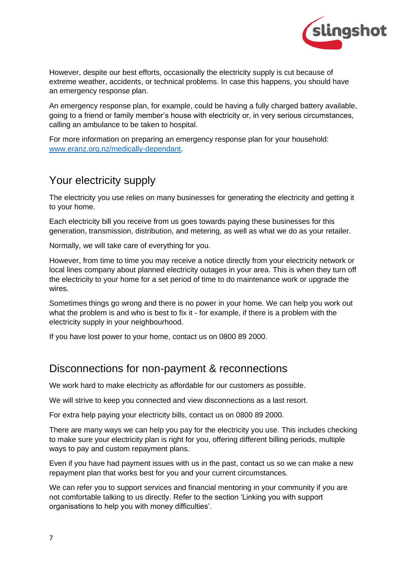

However, despite our best efforts, occasionally the electricity supply is cut because of extreme weather, accidents, or technical problems. In case this happens, you should have an emergency response plan.

An emergency response plan, for example, could be having a fully charged battery available, going to a friend or family member's house with electricity or, in very serious circumstances, calling an ambulance to be taken to hospital.

For more information on preparing an emergency response plan for your household: [www.eranz.org.nz/medically-dependant.](http://www.eranz.org.nz/medically-dependant)

# Your electricity supply

The electricity you use relies on many businesses for generating the electricity and getting it to your home.

Each electricity bill you receive from us goes towards paying these businesses for this generation, transmission, distribution, and metering, as well as what we do as your retailer.

Normally, we will take care of everything for you.

However, from time to time you may receive a notice directly from your electricity network or local lines company about planned electricity outages in your area. This is when they turn off the electricity to your home for a set period of time to do maintenance work or upgrade the wires.

Sometimes things go wrong and there is no power in your home. We can help you work out what the problem is and who is best to fix it - for example, if there is a problem with the electricity supply in your neighbourhood.

If you have lost power to your home, contact us on 0800 89 2000.

# Disconnections for non-payment & reconnections

We work hard to make electricity as affordable for our customers as possible.

We will strive to keep you connected and view disconnections as a last resort.

For extra help paying your electricity bills, contact us on 0800 89 2000.

There are many ways we can help you pay for the electricity you use. This includes checking to make sure your electricity plan is right for you, offering different billing periods, multiple ways to pay and custom repayment plans.

Even if you have had payment issues with us in the past, contact us so we can make a new repayment plan that works best for you and your current circumstances.

We can refer you to support services and financial mentoring in your community if you are not comfortable talking to us directly. Refer to the section 'Linking you with support organisations to help you with money difficulties'.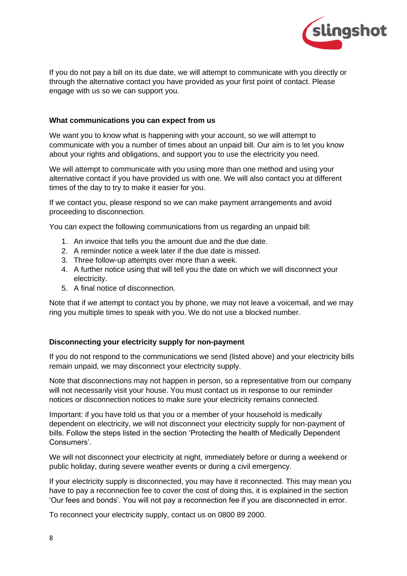

If you do not pay a bill on its due date, we will attempt to communicate with you directly or through the alternative contact you have provided as your first point of contact. Please engage with us so we can support you.

## **What communications you can expect from us**

We want you to know what is happening with your account, so we will attempt to communicate with you a number of times about an unpaid bill. Our aim is to let you know about your rights and obligations, and support you to use the electricity you need.

We will attempt to communicate with you using more than one method and using your alternative contact if you have provided us with one. We will also contact you at different times of the day to try to make it easier for you.

If we contact you, please respond so we can make payment arrangements and avoid proceeding to disconnection.

You can expect the following communications from us regarding an unpaid bill:

- 1. An invoice that tells you the amount due and the due date.
- 2. A reminder notice a week later if the due date is missed.
- 3. Three follow-up attempts over more than a week.
- 4. A further notice using that will tell you the date on which we will disconnect your electricity.
- 5. A final notice of disconnection.

Note that if we attempt to contact you by phone, we may not leave a voicemail, and we may ring you multiple times to speak with you. We do not use a blocked number.

## **Disconnecting your electricity supply for non-payment**

If you do not respond to the communications we send (listed above) and your electricity bills remain unpaid, we may disconnect your electricity supply.

Note that disconnections may not happen in person, so a representative from our company will not necessarily visit your house. You must contact us in response to our reminder notices or disconnection notices to make sure your electricity remains connected.

Important: if you have told us that you or a member of your household is medically dependent on electricity, we will not disconnect your electricity supply for non-payment of bills. Follow the steps listed in the section 'Protecting the health of Medically Dependent Consumers'.

We will not disconnect your electricity at night, immediately before or during a weekend or public holiday, during severe weather events or during a civil emergency.

If your electricity supply is disconnected, you may have it reconnected. This may mean you have to pay a reconnection fee to cover the cost of doing this, it is explained in the section 'Our fees and bonds'. You will not pay a reconnection fee if you are disconnected in error.

To reconnect your electricity supply, contact us on 0800 89 2000.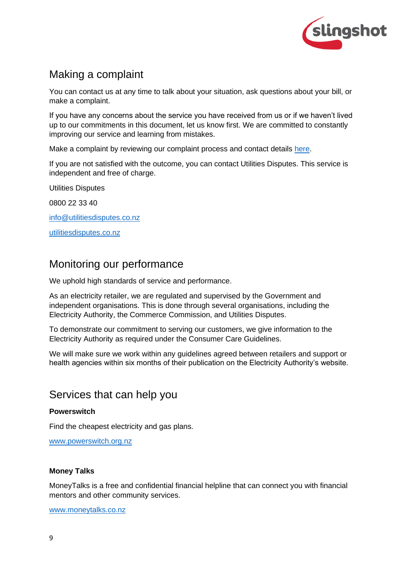

# Making a complaint

You can contact us at any time to talk about your situation, ask questions about your bill, or make a complaint.

If you have any concerns about the service you have received from us or if we haven't lived up to our commitments in this document, let us know first. We are committed to constantly improving our service and learning from mistakes.

Make a complaint by reviewing our complaint process and contact details [here.](https://www.slingshot.co.nz/contact/feedback)

If you are not satisfied with the outcome, you can contact Utilities Disputes. This service is independent and free of charge.

Utilities Disputes

0800 22 33 40

[info@utilitiesdisputes.co.nz](mailto:info@utilitiesdisputes.co.nz)

[utilitiesdisputes.co.nz](http://www.utilitiesdisputes.co.nz/)

# Monitoring our performance

We uphold high standards of service and performance.

As an electricity retailer, we are regulated and supervised by the Government and independent organisations. This is done through several organisations, including the Electricity Authority, the Commerce Commission, and Utilities Disputes.

To demonstrate our commitment to serving our customers, we give information to the Electricity Authority as required under the Consumer Care Guidelines.

We will make sure we work within any guidelines agreed between retailers and support or health agencies within six months of their publication on the Electricity Authority's website.

# Services that can help you

## **Powerswitch**

Find the cheapest electricity and gas plans.

[www.powerswitch.org.nz](http://www.powerswitch.org.nz/)

#### **Money Talks**

MoneyTalks is a free and confidential financial helpline that can connect you with financial mentors and other community services.

[www.moneytalks.co.nz](http://www.moneytalks.co.nz/)